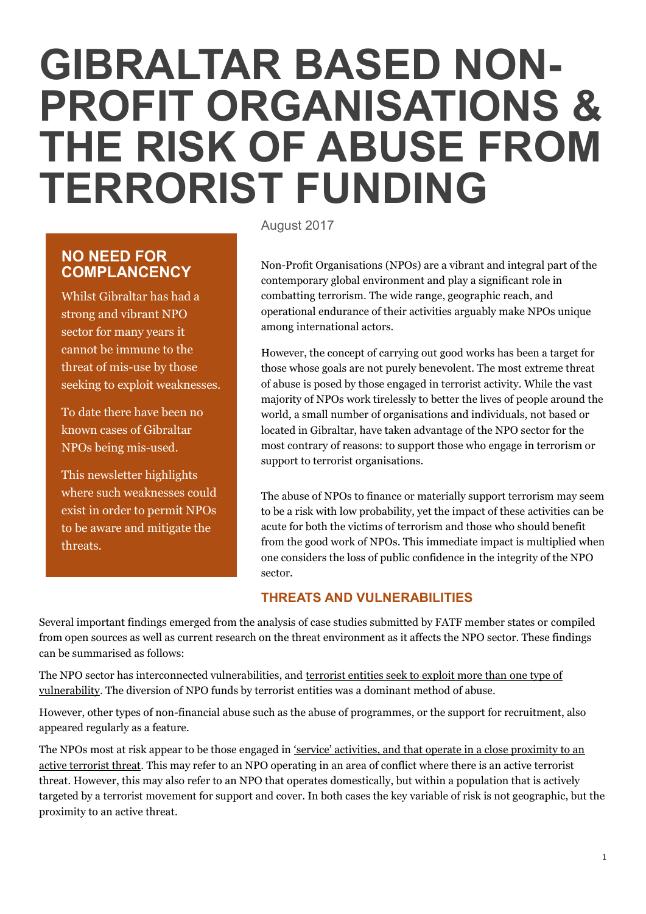# **GIBRALTAR BASED NON-PROFIT ORGANISATIONS & THE RISK OF ABUSE FROM TERRORIST FUNDING**

# **NO NEED FOR COMPLANCENCY**

Whilst Gibraltar has had a strong and vibrant NPO sector for many years it cannot be immune to the threat of mis-use by those seeking to exploit weaknesses.

To date there have been no known cases of Gibraltar NPOs being mis-used.

This newsletter highlights where such weaknesses could exist in order to permit NPOs to be aware and mitigate the threats.

August 2017

Non-Profit Organisations (NPOs) are a vibrant and integral part of the contemporary global environment and play a significant role in combatting terrorism. The wide range, geographic reach, and operational endurance of their activities arguably make NPOs unique among international actors.

However, the concept of carrying out good works has been a target for those whose goals are not purely benevolent. The most extreme threat of abuse is posed by those engaged in terrorist activity. While the vast majority of NPOs work tirelessly to better the lives of people around the world, a small number of organisations and individuals, not based or located in Gibraltar, have taken advantage of the NPO sector for the most contrary of reasons: to support those who engage in terrorism or support to terrorist organisations.

The abuse of NPOs to finance or materially support terrorism may seem to be a risk with low probability, yet the impact of these activities can be acute for both the victims of terrorism and those who should benefit from the good work of NPOs. This immediate impact is multiplied when one considers the loss of public confidence in the integrity of the NPO sector.

# **THREATS AND VULNERABILITIES**

Several important findings emerged from the analysis of case studies submitted by FATF member states or compiled from open sources as well as current research on the threat environment as it affects the NPO sector. These findings can be summarised as follows:

The NPO sector has interconnected vulnerabilities, and terrorist entities seek to exploit more than one type of vulnerability. The diversion of NPO funds by terrorist entities was a dominant method of abuse.

However, other types of non-financial abuse such as the abuse of programmes, or the support for recruitment, also appeared regularly as a feature.

The NPOs most at risk appear to be those engaged in 'service' activities, and that operate in a close proximity to an active terrorist threat. This may refer to an NPO operating in an area of conflict where there is an active terrorist threat. However, this may also refer to an NPO that operates domestically, but within a population that is actively targeted by a terrorist movement for support and cover. In both cases the key variable of risk is not geographic, but the proximity to an active threat.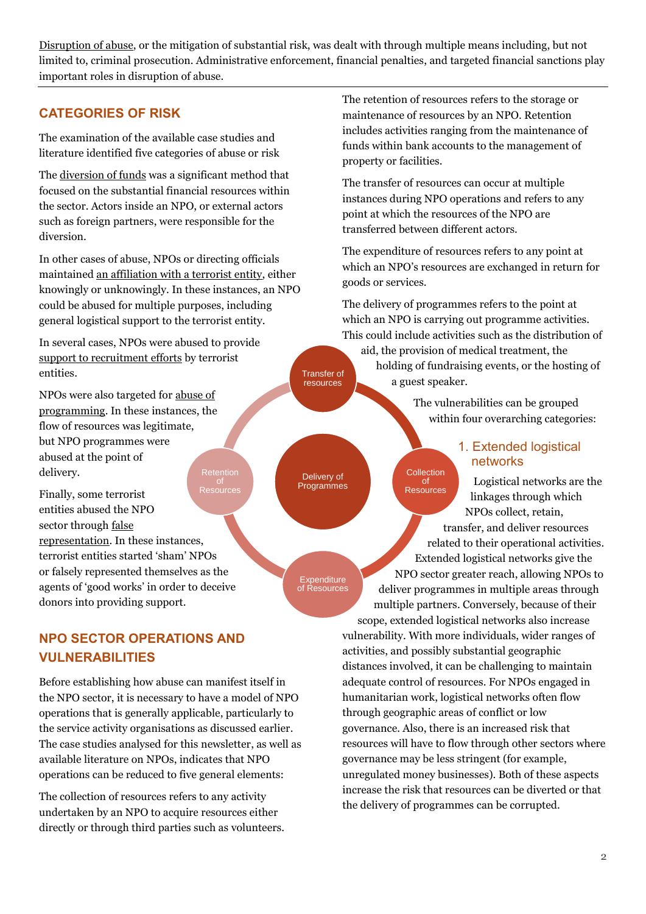Disruption of abuse, or the mitigation of substantial risk, was dealt with through multiple means including, but not limited to, criminal prosecution. Administrative enforcement, financial penalties, and targeted financial sanctions play important roles in disruption of abuse.

> Delivery of Programmes

**Expenditure** of Resources

Transfer of resources

## **CATEGORIES OF RISK**

The examination of the available case studies and literature identified five categories of abuse or risk

The diversion of funds was a significant method that focused on the substantial financial resources within the sector. Actors inside an NPO, or external actors such as foreign partners, were responsible for the diversion.

In other cases of abuse, NPOs or directing officials maintained an affiliation with a terrorist entity, either knowingly or unknowingly. In these instances, an NPO could be abused for multiple purposes, including general logistical support to the terrorist entity.

In several cases, NPOs were abused to provide support to recruitment efforts by terrorist entities.

NPOs were also targeted for abuse of programming. In these instances, the flow of resources was legitimate, but NPO programmes were abused at the point of delivery. **Retention** 

Finally, some terrorist entities abused the NPO sector through false representation. In these instances, terrorist entities started 'sham' NPOs or falsely represented themselves as the agents of 'good works' in order to deceive donors into providing support. **Resources** 

# **NPO SECTOR OPERATIONS AND VULNERABILITIES**

Before establishing how abuse can manifest itself in the NPO sector, it is necessary to have a model of NPO operations that is generally applicable, particularly to the service activity organisations as discussed earlier. The case studies analysed for this newsletter, as well as available literature on NPOs, indicates that NPO operations can be reduced to five general elements:

The collection of resources refers to any activity undertaken by an NPO to acquire resources either directly or through third parties such as volunteers. The retention of resources refers to the storage or maintenance of resources by an NPO. Retention includes activities ranging from the maintenance of funds within bank accounts to the management of property or facilities.

The transfer of resources can occur at multiple instances during NPO operations and refers to any point at which the resources of the NPO are transferred between different actors.

The expenditure of resources refers to any point at which an NPO's resources are exchanged in return for goods or services.

The delivery of programmes refers to the point at which an NPO is carrying out programme activities. This could include activities such as the distribution of

aid, the provision of medical treatment, the holding of fundraising events, or the hosting of a guest speaker.

> The vulnerabilities can be grouped within four overarching categories:

## 1. Extended logistical networks

Logistical networks are the linkages through which NPOs collect, retain, transfer, and deliver resources related to their operational activities. Extended logistical networks give the NPO sector greater reach, allowing NPOs to deliver programmes in multiple areas through multiple partners. Conversely, because of their scope, extended logistical networks also increase vulnerability. With more individuals, wider ranges of activities, and possibly substantial geographic distances involved, it can be challenging to maintain adequate control of resources. For NPOs engaged in humanitarian work, logistical networks often flow through geographic areas of conflict or low governance. Also, there is an increased risk that resources will have to flow through other sectors where governance may be less stringent (for example, Collection of **Resources** 

unregulated money businesses). Both of these aspects increase the risk that resources can be diverted or that the delivery of programmes can be corrupted.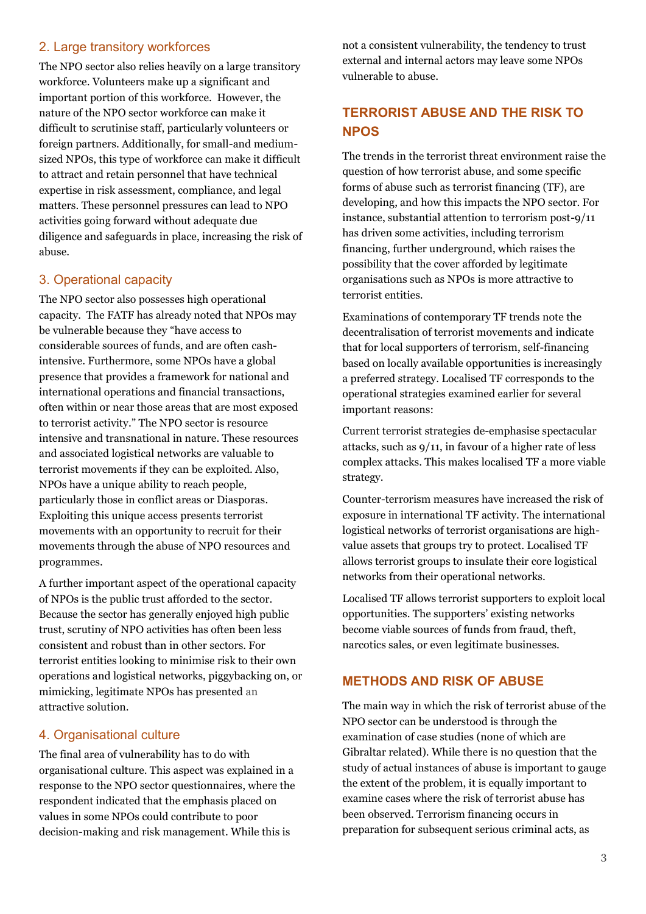## 2. Large transitory workforces

The NPO sector also relies heavily on a large transitory workforce. Volunteers make up a significant and important portion of this workforce. However, the nature of the NPO sector workforce can make it difficult to scrutinise staff, particularly volunteers or foreign partners. Additionally, for small-and mediumsized NPOs, this type of workforce can make it difficult to attract and retain personnel that have technical expertise in risk assessment, compliance, and legal matters. These personnel pressures can lead to NPO activities going forward without adequate due diligence and safeguards in place, increasing the risk of abuse.

## 3. Operational capacity

The NPO sector also possesses high operational capacity. The FATF has already noted that NPOs may be vulnerable because they "have access to considerable sources of funds, and are often cashintensive. Furthermore, some NPOs have a global presence that provides a framework for national and international operations and financial transactions, often within or near those areas that are most exposed to terrorist activity." The NPO sector is resource intensive and transnational in nature. These resources and associated logistical networks are valuable to terrorist movements if they can be exploited. Also, NPOs have a unique ability to reach people, particularly those in conflict areas or Diasporas. Exploiting this unique access presents terrorist movements with an opportunity to recruit for their movements through the abuse of NPO resources and programmes.

A further important aspect of the operational capacity of NPOs is the public trust afforded to the sector. Because the sector has generally enjoyed high public trust, scrutiny of NPO activities has often been less consistent and robust than in other sectors. For terrorist entities looking to minimise risk to their own operations and logistical networks, piggybacking on, or mimicking, legitimate NPOs has presented an attractive solution.

#### 4. Organisational culture

The final area of vulnerability has to do with organisational culture. This aspect was explained in a response to the NPO sector questionnaires, where the respondent indicated that the emphasis placed on values in some NPOs could contribute to poor decision-making and risk management. While this is

not a consistent vulnerability, the tendency to trust external and internal actors may leave some NPOs vulnerable to abuse.

# **TERRORIST ABUSE AND THE RISK TO NPOS**

The trends in the terrorist threat environment raise the question of how terrorist abuse, and some specific forms of abuse such as terrorist financing (TF), are developing, and how this impacts the NPO sector. For instance, substantial attention to terrorism post-9/11 has driven some activities, including terrorism financing, further underground, which raises the possibility that the cover afforded by legitimate organisations such as NPOs is more attractive to terrorist entities.

Examinations of contemporary TF trends note the decentralisation of terrorist movements and indicate that for local supporters of terrorism, self-financing based on locally available opportunities is increasingly a preferred strategy. Localised TF corresponds to the operational strategies examined earlier for several important reasons:

Current terrorist strategies de-emphasise spectacular attacks, such as 9/11, in favour of a higher rate of less complex attacks. This makes localised TF a more viable strategy.

Counter-terrorism measures have increased the risk of exposure in international TF activity. The international logistical networks of terrorist organisations are highvalue assets that groups try to protect. Localised TF allows terrorist groups to insulate their core logistical networks from their operational networks.

Localised TF allows terrorist supporters to exploit local opportunities. The supporters' existing networks become viable sources of funds from fraud, theft, narcotics sales, or even legitimate businesses.

#### **METHODS AND RISK OF ABUSE**

The main way in which the risk of terrorist abuse of the NPO sector can be understood is through the examination of case studies (none of which are Gibraltar related). While there is no question that the study of actual instances of abuse is important to gauge the extent of the problem, it is equally important to examine cases where the risk of terrorist abuse has been observed. Terrorism financing occurs in preparation for subsequent serious criminal acts, as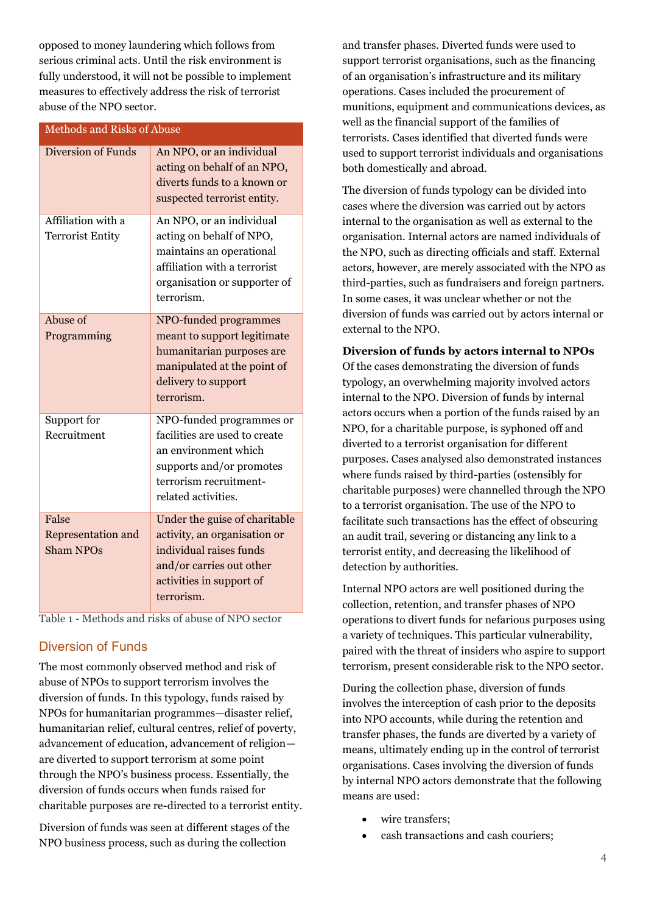opposed to money laundering which follows from serious criminal acts. Until the risk environment is fully understood, it will not be possible to implement measures to effectively address the risk of terrorist abuse of the NPO sector.

| <b>Methods and Risks of Abuse</b>               |                                                                                                                                                                |
|-------------------------------------------------|----------------------------------------------------------------------------------------------------------------------------------------------------------------|
| <b>Diversion of Funds</b>                       | An NPO, or an individual<br>acting on behalf of an NPO,<br>diverts funds to a known or<br>suspected terrorist entity.                                          |
| Affiliation with a<br><b>Terrorist Entity</b>   | An NPO, or an individual<br>acting on behalf of NPO,<br>maintains an operational<br>affiliation with a terrorist<br>organisation or supporter of<br>terrorism. |
| Abuse of<br>Programming                         | NPO-funded programmes<br>meant to support legitimate<br>humanitarian purposes are<br>manipulated at the point of<br>delivery to support<br>terrorism.          |
| Support for<br>Recruitment                      | NPO-funded programmes or<br>facilities are used to create<br>an environment which<br>supports and/or promotes<br>terrorism recruitment-<br>related activities. |
| False<br>Representation and<br><b>Sham NPOs</b> | Under the guise of charitable<br>activity, an organisation or<br>individual raises funds<br>and/or carries out other<br>activities in support of<br>terrorism. |

Table 1 - Methods and risks of abuse of NPO sector

#### Diversion of Funds

The most commonly observed method and risk of abuse of NPOs to support terrorism involves the diversion of funds. In this typology, funds raised by NPOs for humanitarian programmes—disaster relief, humanitarian relief, cultural centres, relief of poverty, advancement of education, advancement of religion are diverted to support terrorism at some point through the NPO's business process. Essentially, the diversion of funds occurs when funds raised for charitable purposes are re-directed to a terrorist entity.

Diversion of funds was seen at different stages of the NPO business process, such as during the collection

and transfer phases. Diverted funds were used to support terrorist organisations, such as the financing of an organisation's infrastructure and its military operations. Cases included the procurement of munitions, equipment and communications devices, as well as the financial support of the families of terrorists. Cases identified that diverted funds were used to support terrorist individuals and organisations both domestically and abroad.

The diversion of funds typology can be divided into cases where the diversion was carried out by actors internal to the organisation as well as external to the organisation. Internal actors are named individuals of the NPO, such as directing officials and staff. External actors, however, are merely associated with the NPO as third-parties, such as fundraisers and foreign partners. In some cases, it was unclear whether or not the diversion of funds was carried out by actors internal or external to the NPO.

#### **Diversion of funds by actors internal to NPOs**

Of the cases demonstrating the diversion of funds typology, an overwhelming majority involved actors internal to the NPO. Diversion of funds by internal actors occurs when a portion of the funds raised by an NPO, for a charitable purpose, is syphoned off and diverted to a terrorist organisation for different purposes. Cases analysed also demonstrated instances where funds raised by third-parties (ostensibly for charitable purposes) were channelled through the NPO to a terrorist organisation. The use of the NPO to facilitate such transactions has the effect of obscuring an audit trail, severing or distancing any link to a terrorist entity, and decreasing the likelihood of detection by authorities.

Internal NPO actors are well positioned during the collection, retention, and transfer phases of NPO operations to divert funds for nefarious purposes using a variety of techniques. This particular vulnerability, paired with the threat of insiders who aspire to support terrorism, present considerable risk to the NPO sector.

During the collection phase, diversion of funds involves the interception of cash prior to the deposits into NPO accounts, while during the retention and transfer phases, the funds are diverted by a variety of means, ultimately ending up in the control of terrorist organisations. Cases involving the diversion of funds by internal NPO actors demonstrate that the following means are used:

- wire transfers;
- cash transactions and cash couriers;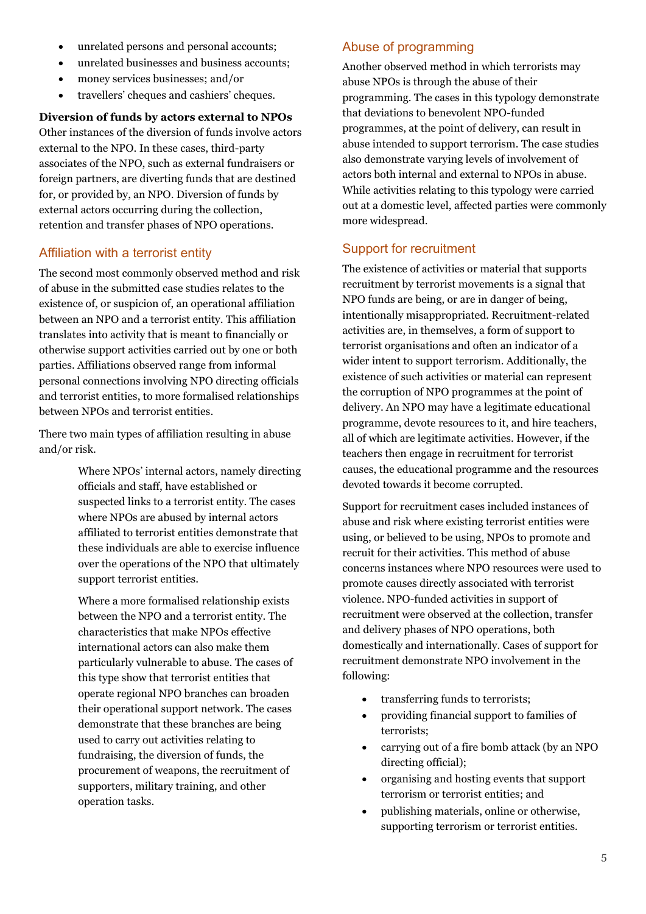- unrelated persons and personal accounts;
- unrelated businesses and business accounts;
- money services businesses; and/or
- travellers' cheques and cashiers' cheques.

**Diversion of funds by actors external to NPOs** Other instances of the diversion of funds involve actors external to the NPO. In these cases, third-party associates of the NPO, such as external fundraisers or foreign partners, are diverting funds that are destined for, or provided by, an NPO. Diversion of funds by external actors occurring during the collection, retention and transfer phases of NPO operations.

## Affiliation with a terrorist entity

The second most commonly observed method and risk of abuse in the submitted case studies relates to the existence of, or suspicion of, an operational affiliation between an NPO and a terrorist entity. This affiliation translates into activity that is meant to financially or otherwise support activities carried out by one or both parties. Affiliations observed range from informal personal connections involving NPO directing officials and terrorist entities, to more formalised relationships between NPOs and terrorist entities.

There two main types of affiliation resulting in abuse and/or risk.

> Where NPOs' internal actors, namely directing officials and staff, have established or suspected links to a terrorist entity. The cases where NPOs are abused by internal actors affiliated to terrorist entities demonstrate that these individuals are able to exercise influence over the operations of the NPO that ultimately support terrorist entities.

Where a more formalised relationship exists between the NPO and a terrorist entity. The characteristics that make NPOs effective international actors can also make them particularly vulnerable to abuse. The cases of this type show that terrorist entities that operate regional NPO branches can broaden their operational support network. The cases demonstrate that these branches are being used to carry out activities relating to fundraising, the diversion of funds, the procurement of weapons, the recruitment of supporters, military training, and other operation tasks.

## Abuse of programming

Another observed method in which terrorists may abuse NPOs is through the abuse of their programming. The cases in this typology demonstrate that deviations to benevolent NPO-funded programmes, at the point of delivery, can result in abuse intended to support terrorism. The case studies also demonstrate varying levels of involvement of actors both internal and external to NPOs in abuse. While activities relating to this typology were carried out at a domestic level, affected parties were commonly more widespread.

## Support for recruitment

The existence of activities or material that supports recruitment by terrorist movements is a signal that NPO funds are being, or are in danger of being, intentionally misappropriated. Recruitment-related activities are, in themselves, a form of support to terrorist organisations and often an indicator of a wider intent to support terrorism. Additionally, the existence of such activities or material can represent the corruption of NPO programmes at the point of delivery. An NPO may have a legitimate educational programme, devote resources to it, and hire teachers, all of which are legitimate activities. However, if the teachers then engage in recruitment for terrorist causes, the educational programme and the resources devoted towards it become corrupted.

Support for recruitment cases included instances of abuse and risk where existing terrorist entities were using, or believed to be using, NPOs to promote and recruit for their activities. This method of abuse concerns instances where NPO resources were used to promote causes directly associated with terrorist violence. NPO-funded activities in support of recruitment were observed at the collection, transfer and delivery phases of NPO operations, both domestically and internationally. Cases of support for recruitment demonstrate NPO involvement in the following:

- transferring funds to terrorists;
- providing financial support to families of terrorists;
- carrying out of a fire bomb attack (by an NPO directing official);
- organising and hosting events that support terrorism or terrorist entities; and
- publishing materials, online or otherwise, supporting terrorism or terrorist entities.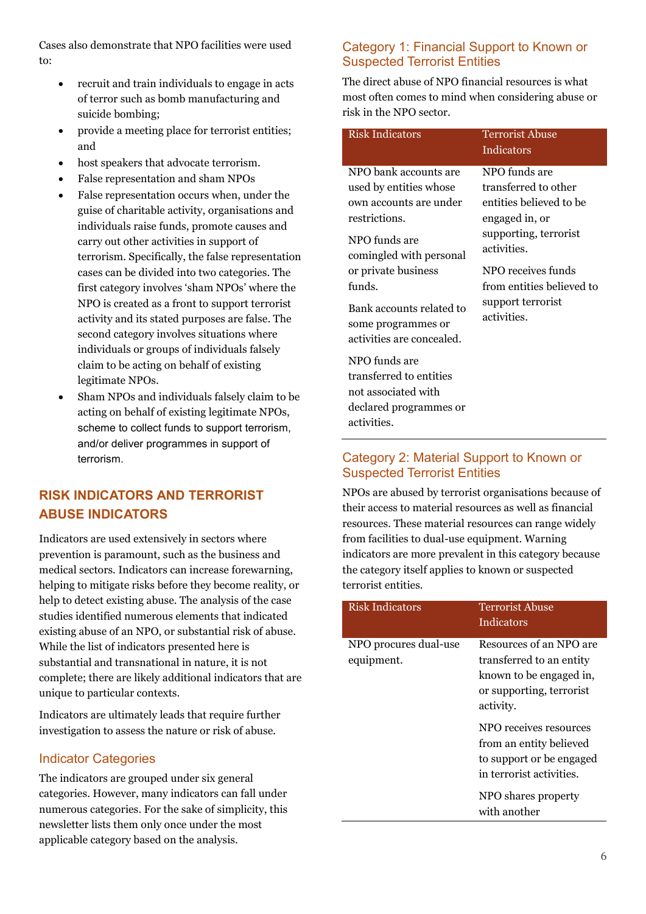Cases also demonstrate that NPO facilities were used to:

- recruit and train individuals to engage in acts of terror such as bomb manufacturing and suicide bombing;
- provide a meeting place for terrorist entities; and
- host speakers that advocate terrorism.
- False representation and sham NPOs
- False representation occurs when, under the guise of charitable activity, organisations and individuals raise funds, promote causes and carry out other activities in support of terrorism. Specifically, the false representation cases can be divided into two categories. The first category involves 'sham NPOs' where the NPO is created as a front to support terrorist activity and its stated purposes are false. The second category involves situations where individuals or groups of individuals falsely claim to be acting on behalf of existing legitimate NPOs.
- Sham NPOs and individuals falsely claim to be acting on behalf of existing legitimate NPOs, scheme to collect funds to support terrorism, and/or deliver programmes in support of terrorism.

# **RISK INDICATORS AND TERRORIST ABUSE INDICATORS**

Indicators are used extensively in sectors where prevention is paramount, such as the business and medical sectors. Indicators can increase forewarning, helping to mitigate risks before they become reality, or help to detect existing abuse. The analysis of the case studies identified numerous elements that indicated existing abuse of an NPO, or substantial risk of abuse. While the list of indicators presented here is substantial and transnational in nature, it is not complete; there are likely additional indicators that are unique to particular contexts.

Indicators are ultimately leads that require further investigation to assess the nature or risk of abuse.

## Indicator Categories

The indicators are grouped under six general categories. However, many indicators can fall under numerous categories. For the sake of simplicity, this newsletter lists them only once under the most applicable category based on the analysis.

## Category 1: Financial Support to Known or Suspected Terrorist Entities

The direct abuse of NPO financial resources is what most often comes to mind when considering abuse or risk in the NPO sector.

| <b>Risk Indicators</b>                                                                                                                                                                                                                                 | <b>Terrorist Abuse</b><br>Indicators                                                                                                                                                                              |
|--------------------------------------------------------------------------------------------------------------------------------------------------------------------------------------------------------------------------------------------------------|-------------------------------------------------------------------------------------------------------------------------------------------------------------------------------------------------------------------|
| NPO bank accounts are<br>used by entities whose<br>own accounts are under<br>restrictions.<br>NPO funds are<br>comingled with personal<br>or private business<br>funds.<br>Bank accounts related to<br>some programmes or<br>activities are concealed. | NPO funds are<br>transferred to other<br>entities believed to be<br>engaged in, or<br>supporting, terrorist<br>activities.<br>NPO receives funds<br>from entities believed to<br>support terrorist<br>activities. |

transferred to entities not associated with declared programmes or activities.

NPO funds are

## Category 2: Material Support to Known or Suspected Terrorist Entities

NPOs are abused by terrorist organisations because of their access to material resources as well as financial resources. These material resources can range widely from facilities to dual-use equipment. Warning indicators are more prevalent in this category because the category itself applies to known or suspected terrorist entities.

| <b>Risk Indicators</b>              | <b>Terrorist Abuse</b>                                                                                                  |
|-------------------------------------|-------------------------------------------------------------------------------------------------------------------------|
|                                     | Indicators                                                                                                              |
| NPO procures dual-use<br>equipment. | Resources of an NPO are<br>transferred to an entity<br>known to be engaged in,<br>or supporting, terrorist<br>activity. |
|                                     | NPO receives resources<br>from an entity believed<br>to support or be engaged<br>in terrorist activities.               |
|                                     | NPO shares property<br>with another                                                                                     |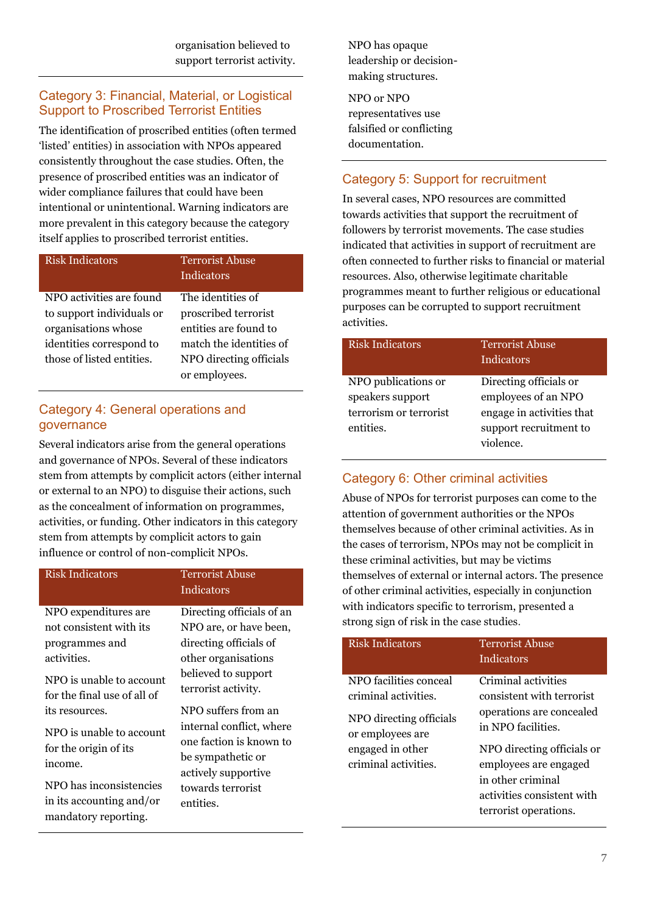organisation believed to support terrorist activity.

## Category 3: Financial, Material, or Logistical Support to Proscribed Terrorist Entities

The identification of proscribed entities (often termed 'listed' entities) in association with NPOs appeared consistently throughout the case studies. Often, the presence of proscribed entities was an indicator of wider compliance failures that could have been intentional or unintentional. Warning indicators are more prevalent in this category because the category itself applies to proscribed terrorist entities.

| NPO activities are found<br>The identities of<br>to support individuals or<br>proscribed terrorist<br>organisations whose<br>entities are found to<br>identities correspond to<br>match the identities of<br>those of listed entities.<br>NPO directing officials<br>or employees. | Risk Indicators | <b>Terrorist Abuse</b><br>Indicators |
|------------------------------------------------------------------------------------------------------------------------------------------------------------------------------------------------------------------------------------------------------------------------------------|-----------------|--------------------------------------|
|                                                                                                                                                                                                                                                                                    |                 |                                      |

## Category 4: General operations and governance

Several indicators arise from the general operations and governance of NPOs. Several of these indicators stem from attempts by complicit actors (either internal or external to an NPO) to disguise their actions, such as the concealment of information on programmes, activities, or funding. Other indicators in this category stem from attempts by complicit actors to gain influence or control of non-complicit NPOs.

| <b>Risk Indicators</b>                                                                                                                                                                                             | <b>Terrorist Abuse</b><br>Indicators                                                                                                                                                                                                                                                                           |
|--------------------------------------------------------------------------------------------------------------------------------------------------------------------------------------------------------------------|----------------------------------------------------------------------------------------------------------------------------------------------------------------------------------------------------------------------------------------------------------------------------------------------------------------|
| NPO expenditures are<br>not consistent with its<br>programmes and<br>activities.<br>NPO is unable to account<br>for the final use of all of<br>its resources.<br>NPO is unable to account<br>for the origin of its | Directing officials of an<br>NPO are, or have been,<br>directing officials of<br>other organisations<br>believed to support<br>terrorist activity.<br>NPO suffers from an<br>internal conflict, where<br>one faction is known to<br>be sympathetic or<br>actively supportive<br>towards terrorist<br>entities. |
| income.<br>NPO has inconsistencies<br>in its accounting and/or<br>mandatory reporting.                                                                                                                             |                                                                                                                                                                                                                                                                                                                |

NPO has opaque leadership or decisionmaking structures.

NPO or NPO representatives use falsified or conflicting documentation.

## Category 5: Support for recruitment

In several cases, NPO resources are committed towards activities that support the recruitment of followers by terrorist movements. The case studies indicated that activities in support of recruitment are often connected to further risks to financial or material resources. Also, otherwise legitimate charitable programmes meant to further religious or educational purposes can be corrupted to support recruitment activities.

| <b>Risk Indicators</b> | <b>Terrorist Abuse</b><br>Indicators |
|------------------------|--------------------------------------|
| NPO publications or    | Directing officials or               |
| speakers support       | employees of an NPO                  |
| terrorism or terrorist | engage in activities that            |
| entities.              | support recruitment to               |
|                        | violence.                            |

## Category 6: Other criminal activities

Abuse of NPOs for terrorist purposes can come to the attention of government authorities or the NPOs themselves because of other criminal activities. As in the cases of terrorism, NPOs may not be complicit in these criminal activities, but may be victims themselves of external or internal actors. The presence of other criminal activities, especially in conjunction with indicators specific to terrorism, presented a strong sign of risk in the case studies.

| <b>Risk Indicators</b>                                                                                                                    | <b>Terrorist Abuse</b><br>Indicators                                                                                                                                                                                                  |
|-------------------------------------------------------------------------------------------------------------------------------------------|---------------------------------------------------------------------------------------------------------------------------------------------------------------------------------------------------------------------------------------|
| NPO facilities conceal<br>criminal activities.<br>NPO directing officials<br>or employees are<br>engaged in other<br>criminal activities. | Criminal activities<br>consistent with terrorist<br>operations are concealed<br>in NPO facilities.<br>NPO directing officials or<br>employees are engaged<br>in other criminal<br>activities consistent with<br>terrorist operations. |